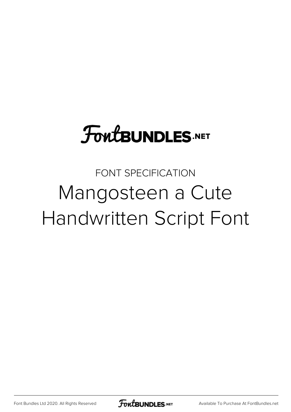# **FoutBUNDLES.NET**

### FONT SPECIFICATION Mangosteen a Cute Handwritten Script Font

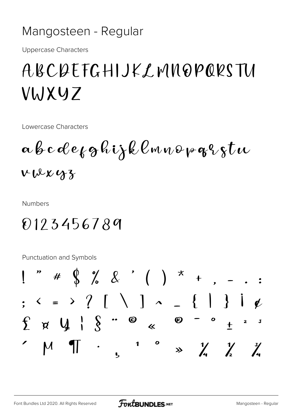#### Mangosteen - Regular

**Uppercase Characters** 

## ABCQEFGHIJKLMNQPQRSTU VWXYZ

Lowercase Characters

 $\alpha \beta c \alpha e_k g \kappa i \lambda \ell \ell \omega \omega \rho q \kappa \chi t \omega$  $VWXXY3$ 

**Numbers** 

#### 0123456789

**Punctuation and Symbols** 

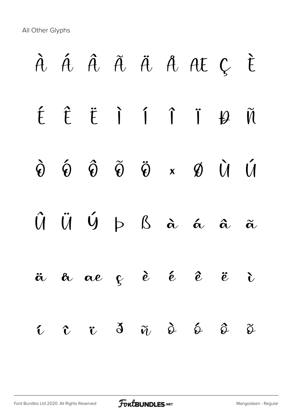All Other Glyphs

|  |  |  | À Á Â Ã Ä Å A E Ç È                                                                                                                                     |  |
|--|--|--|---------------------------------------------------------------------------------------------------------------------------------------------------------|--|
|  |  |  | ÉÊËIÍÎTHÃ                                                                                                                                               |  |
|  |  |  | $\hat{\Theta} \quad \hat{\Theta} \quad \hat{\Theta} \quad \hat{\Theta} \quad \tilde{\Theta} \quad \kappa \quad \mathcal{B} \quad \hat{U} \quad \hat{U}$ |  |
|  |  |  | $\hat{U} \quad \hat{U} \quad \hat{U} \quad \hat{D} \quad \hat{B} \quad \hat{\alpha} \quad \hat{\alpha} \quad \hat{\alpha} \quad \hat{\alpha}$           |  |
|  |  |  | $\ddot{a}$ $\alpha$ $\alpha$ $\beta$ $\dot{e}$ $\dot{e}$ $\ddot{e}$ $\ddot{e}$ $\ddot{c}$                                                               |  |
|  |  |  | $\hat{u}$ $\hat{v}$ $\hat{d}$ $\tilde{w}$ $\hat{\phi}$ $\hat{\phi}$ $\hat{\phi}$ $\tilde{\phi}$                                                         |  |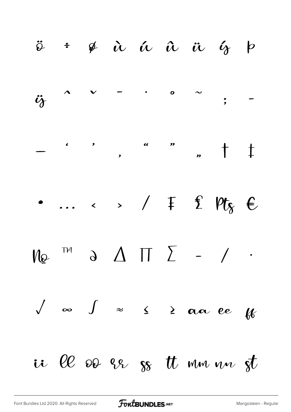